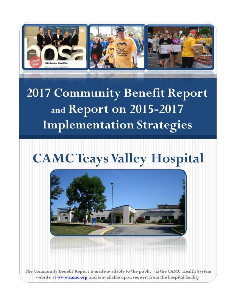

# **2017 Community Benefit Report** and Report on 2015-2017 **Implementation Strategies**

# **CAMC Teays Valley Hospital**



The Community Benefit Report is made available to the public via the CAMC Health System website at www.camc.org and is available upon request from the hospital facility.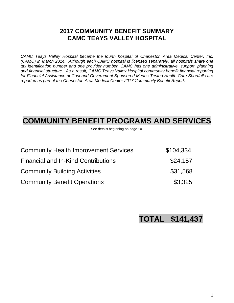## **2017 COMMUNITY BENEFIT SUMMARY CAMC TEAYS VALLEY HOSPITAL**

*CAMC Teays Valley Hospital became the fourth hospital of Charleston Area Medical Center, Inc. (CAMC) in March 2014. Although each CAMC hospital is licensed separately, all hospitals share one tax identification number and one provider number. CAMC has one administrative, support, planning and financial structure. As a result, CAMC Teays Valley Hospital community benefit financial reporting for Financial Assistance at Cost and Government Sponsored Means-Tested Health Care Shortfalls are reported as part of the Charleston Area Medical Center 2017 Community Benefit Report.*

# **COMMUNITY BENEFIT PROGRAMS AND SERVICES**

See details beginning on page 10.

| <b>Community Health Improvement Services</b> | \$104.334 |
|----------------------------------------------|-----------|
| <b>Financial and In-Kind Contributions</b>   | \$24,157  |
| <b>Community Building Activities</b>         | \$31,568  |
| <b>Community Benefit Operations</b>          | \$3,325   |

## **TOTAL \$141,437**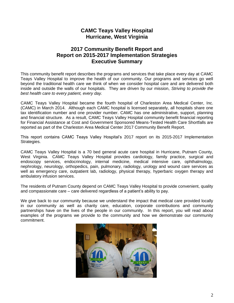## **CAMC Teays Valley Hospital Hurricane, West Virginia**

## **2017 Community Benefit Report and Report on 2015-2017 Implementation Strategies Executive Summary**

This community benefit report describes the programs and services that take place every day at CAMC Teays Valley Hospital to improve the health of our community. Our programs and services go well beyond the traditional health care we think of when we consider hospital care and are delivered both inside and outside the walls of our hospitals. They are driven by our mission, *Striving to provide the best health care to every patient, every day.* 

CAMC Teays Valley Hospital became the fourth hospital of Charleston Area Medical Center, Inc. (CAMC) in March 2014. Although each CAMC hospital is licensed separately, all hospitals share one tax identification number and one provider number. CAMC has one administrative, support, planning and financial structure. As a result, CAMC Teays Valley Hospital community benefit financial reporting for Financial Assistance at Cost and Government Sponsored Means-Tested Health Care Shortfalls are reported as part of the Charleston Area Medical Center 2017 Community Benefit Report.

This report contains CAMC Teays Valley Hospital's 2017 report on its 2015-2017 Implementation Strategies.

CAMC Teays Valley Hospital is a 70 bed general acute care hospital in Hurricane, Putnam County, West Virginia. CAMC Teays Valley Hospital provides cardiology, family practice, surgical and endoscopy services, endocrinology, internal medicine, medical intensive care, ophthalmology, nephrology, neurology, orthopedics, pain, pulmonary, radiology, urology and wound care services as well as emergency care, outpatient lab, radiology, physical therapy, hyperbaric oxygen therapy and ambulatory infusion services.

The residents of Putnam County depend on CAMC Teays Valley Hospital to provide convenient, quality and compassionate care – care delivered regardless of a patient's ability to pay.

We give back to our community because we understand the impact that medical care provided locally in our community as well as charity care, education, corporate contributions and community partnerships have on the lives of the people in our community. In this report, you will read about examples of the programs we provide to the community and how we demonstrate our community commitment.

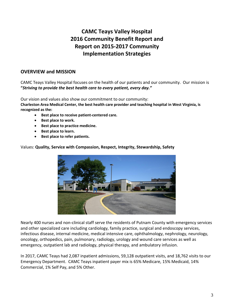## **CAMC Teays Valley Hospital 2016 Community Benefit Report and Report on 2015-2017 Community Implementation Strategies**

### **OVERVIEW and MISSION**

CAMC Teays Valley Hospital focuses on the health of our patients and our community. Our mission is **"***Striving to provide the best health care to every patient, every day."*

Our vision and values also show our commitment to our community: **Charleston Area Medical Center, the best health care provider and teaching hospital in West Virginia, is recognized as the:**

- **Best place to receive patient-centered care.**
- **•** Best place to work.
- **•** Best place to practice medicine.
- **Best place to learn.**
- **Best place to refer patients.**

Values: **Quality, Service with Compassion, Respect, Integrity, Stewardship, Safety** 

Nearly 400 nurses and non-clinical staff serve the residents of Putnam County with emergency services and other specialized care including cardiology, family practice, surgical and endoscopy services, infectious disease, internal medicine, medical intensive care, ophthalmology, nephrology, neurology, oncology, orthopedics, pain, pulmonary, radiology, urology and wound care services as well as emergency, outpatient lab and radiology, physical therapy, and ambulatory infusion.

In 2017, CAMC Teays had 2,087 inpatient admissions, 59,128 outpatient visits, and 18,762 visits to our Emergency Department. CAMC Teays inpatient payer mix is 65% Medicare, 15% Medicaid, 14% Commercial, 1% Self Pay, and 5% Other.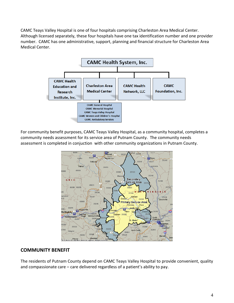CAMC Teays Valley Hospital is one of four hospitals comprising Charleston Area Medical Center. Although licensed separately, these four hospitals have one tax identification number and one provider number. CAMC has one administrative, support, planning and financial structure for Charleston Area Medical Center.



For community benefit purposes, CAMC Teays Valley Hospital, as a community hospital, completes a community needs assessment for its service area of Putnam County. The community needs assessment is completed in conjuction with other community organizations in Putnam County.



#### **COMMUNITY BENEFIT**

The residents of Putnam County depend on CAMC Teays Valley Hospital to provide convenient, quality and compassionate care – care delivered regardless of a patient's ability to pay.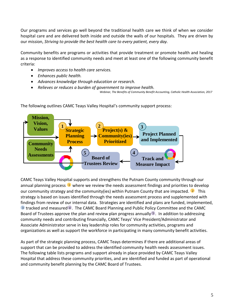Our programs and services go well beyond the traditional health care we think of when we consider hospital care and are delivered both inside and outside the walls of our hospitals. They are driven by our mission, *Striving to provide the best health care to every patient, every day.* 

Community benefits are programs or activities that provide treatment or promote health and healing as a response to identified community needs and meet at least one of the following community benefit criteria:

- *Improves access to health care services.*
- *Enhances public health.*
- *Advances knowledge through education or research.*
- *Relieves or reduces a burden of government to improve health.*

 *Webinar, The Benefits of Community Benefit Accounting, Catholic Health Association, 2017*



The following outlines CAMC Teays Valley Hospital's community support process: **Figure 1.2-3 Community Support**

CAMC Teays Valley Hospital supports and strengthens the Putnam County community through our annual planning process  $\mathbf{u}$  where we review the needs assessment findings and priorities to develop our community strategy and the community(ies) within Putnam County that are impacted.  $\boxed{2}$  This strategy is based on issues identified through the needs assessment process and supplemented with findings from review of our internal data. Strategies are identified and plans are funded, implemented,  $3$  tracked and measured  $4$ . The CAMC Board Planning and Public Policy Committee and the CAMC Board of Trustees approve the plan and review plan progress annually 5. In addition to addressing community needs and contributing financially, CAMC Teays' Vice President/Administrator and Associate Administrator serve in key leadership roles for community activities, programs and organizations as well as support the workforce in participating in many community benefit activities.

As part of the strategic planning process, CAMC Teays determines if there are additional areas of support that can be provided to address the identified community health needs assessment issues. The following table lists programs and support already in place provided by CAMC Teays Valley Hospital that address these community priorities, and are identified and funded as part of operational and community benefit planning by the CAMC Board of Trustees.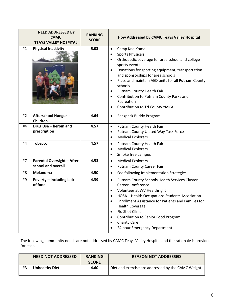|    | <b>NEED ADDRESSED BY</b><br><b>CAMC</b><br><b>TEAYS VALLEY HOSPITAL</b> | <b>RANKING</b><br><b>SCORE</b> | How Addressed by CAMC Teays Valley Hospital                                                                                                                                                                                                                                                                                                                                                                                                                                        |
|----|-------------------------------------------------------------------------|--------------------------------|------------------------------------------------------------------------------------------------------------------------------------------------------------------------------------------------------------------------------------------------------------------------------------------------------------------------------------------------------------------------------------------------------------------------------------------------------------------------------------|
| #1 | <b>Physical Inactivity</b>                                              | 5.03                           | Camp Kno Koma<br>$\bullet$<br><b>Sports Physicals</b><br>Orthopedic coverage for area school and college<br>$\bullet$<br>sports events<br>Donations for sporting equipment, transportation<br>$\bullet$<br>and sponsorships for area schools<br>Place and maintain AED units for all Putnam County<br>$\bullet$<br>schools<br>Putnam County Health Fair<br>$\bullet$<br>Contribution to Putnam County Parks and<br>$\bullet$<br>Recreation<br>Contribution to Tri County YMCA<br>٠ |
| #2 | <b>Afterschool Hunger -</b><br>Children                                 | 4.64                           | <b>Backpack Buddy Program</b><br>$\bullet$                                                                                                                                                                                                                                                                                                                                                                                                                                         |
| #4 | Drug Use - heroin and<br>prescription                                   | 4.57                           | Putnam County Health Fair<br>$\bullet$<br>Putnam County United Way Task Force<br>٠<br><b>Medical Explorers</b><br>٠                                                                                                                                                                                                                                                                                                                                                                |
| #4 | <b>Tobacco</b>                                                          | 4.57                           | Putnam County Health Fair<br>$\bullet$<br><b>Medical Explorers</b><br>$\bullet$<br>Smoke free campus<br>$\bullet$                                                                                                                                                                                                                                                                                                                                                                  |
| #7 | <b>Parental Oversight - After</b><br>school and overall                 | 4.53                           | <b>Medical Explorers</b><br>$\bullet$<br><b>Putnam County Career Fair</b><br>$\bullet$                                                                                                                                                                                                                                                                                                                                                                                             |
| #8 | Melanoma                                                                | 4.50                           | See following Implementation Strategies<br>$\bullet$                                                                                                                                                                                                                                                                                                                                                                                                                               |
| #9 | <b>Poverty - including lack</b><br>of food                              | 4.39                           | Putnam County Schools Health Services Cluster<br>$\bullet$<br><b>Career Conference</b><br>Volunteer at WV Healthright<br>$\bullet$<br>HOSA - Health Occupations Students Association<br>Enrollment Assistance for Patients and Families for<br>$\bullet$<br><b>Health Coverage</b><br>Flu Shot Clinic<br>$\bullet$<br>Contribution to Senior Food Program<br><b>Charity Care</b><br>24 hour Emergency Department                                                                   |

The following community needs are not addressed by CAMC Teays Valley Hospital and the rationale is provided for each.

|    | <b>NEED NOT ADDRESSED</b> | <b>RANKING</b><br><b>SCORE</b> | <b>REASON NOT ADDRESSED</b>                        |
|----|---------------------------|--------------------------------|----------------------------------------------------|
| #3 | <b>Unhealthy Diet</b>     | 4.60                           | Diet and exercise are addressed by the CAMC Weight |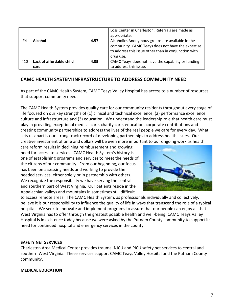|     |                          |      | Loss Center in Charleston. Referrals are made as<br>appropriate.                                                                                                           |
|-----|--------------------------|------|----------------------------------------------------------------------------------------------------------------------------------------------------------------------------|
| #4  | <b>Alcohol</b>           | 4.57 | Alcoholics Anonymous groups are available in the<br>community. CAMC Teays does not have the expertise<br>to address this issue other than in conjunction with<br>drug use. |
| #10 | Lack of affordable child | 4.35 | CAMC Teays does not have the capability or funding                                                                                                                         |
|     | care                     |      | to address this issue.                                                                                                                                                     |

### **CAMC HEALTH SYSTEM INFRASTRUCTURE TO ADDRESS COMMUNITY NEED**

As part of the CAMC Health System, CAMC Teays Valley Hospital has access to a number of resources that support community need.

The CAMC Health System provides quality care for our community residents throughout every stage of life focused on our key strengths of (1) clinical and technical excellence, (2) performance excellence culture and infrastructure and (3) education. We understand the leadership role that health care must play in providing exceptional medical care, charity care, education, corporate contributions and creating community partnerships to address the lives of the real people we care for every day. What sets us apart is our strong track record of developing partnerships to address health issues. Our creative investment of time and dollars will be even more important to our ongoing work as health

care reform results in declining reimbursement and growing need for access to services. CAMC Health System's history is one of establishing programs and services to meet the needs of the citizens of our community. From our beginning, our focus has been on assessing needs and working to provide the needed services, either solely or in partnership with others. We recognize the responsibility we have serving the central and southern part of West Virginia. Our patients reside in the Appalachian valleys and mountains in sometimes still difficult



to access remote areas. The CAMC Health System, as professionals individually and collectively, believe it is our responsibility to influence the quality of life in ways that transcend the role of a typical hospital. We seek to innovate and implement programs to assure that our people can enjoy all that West Virginia has to offer through the greatest possible health and well-being. CAMC Teays Valley Hospital is in existence today because we were asked by the Putnam County community to support its need for continued hospital and emergency services in the county.

#### **SAFETY NET SERVICES**

Charleston Area Medical Center provides trauma, NICU and PICU safety net services to central and southern West Virginia. These services support CAMC Teays Valley Hospital and the Putnam County community.

#### **MEDICAL EDUCATION**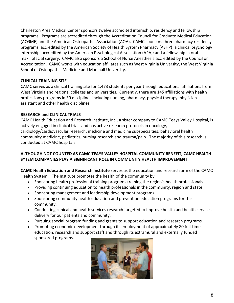Charleston Area Medical Center sponsors twelve accredited internship, residency and fellowship programs. Programs are accredited through the Accreditation Council for Graduate Medical Education (ACGME) and the American Osteopathic Association (AOA). CAMC sponsors three pharmacy residency programs, accredited by the American Society of Health System Pharmacy (ASHP); a clinical psychology internship, accredited by the American Psychological Association (APA); and a fellowship in oral maxillofacial surgery. CAMC also sponsors a School of Nurse Anesthesia accredited by the Council on Accreditation. CAMC works with education affiliates such as West Virginia University, the West Virginia School of Osteopathic Medicine and Marshall University.

#### **CLINICAL TRAINING SITE**

CAMC serves as a clinical training site for 1,473 students per year through educational affiliations from West Virginia and regional colleges and universities. Currently, there are 145 affiliations with health professions programs in 30 disciplines including nursing, pharmacy, physical therapy, physician assistant and other health disciplines.

#### **RESEARCH and CLINICAL TRIALS**

CAMC Health Education and Research Institute, Inc., a sister company to CAMC Teays Valley Hospital, is actively engaged in clinical trials and has active research protocols in oncology, cardiology/cardiovascular research, medicine and medicine subspecialties, behavioral health community medicine, pediatrics, nursing research and trauma/pain. The majority of this research is conducted at CAMC hospitals.

#### **ALTHOUGH NOT COUNTED AS CAMC TEAYS VALLEY HOSPITAL COMMUNITY BENEFIT, CAMC HEALTH SYTEM COMPANIES PLAY A SIGNIFICANT ROLE IN COMMUNITY HEALTH IMPROVEMENT:**

**CAMC Health Education and Research Institute** serves as the education and research arm of the CAMC Health System. The Institute promotes the health of the community by:

- Sponsoring health professional training programs training the region's health professionals.
- Providing continuing education to health professionals in the community, region and state.
- Sponsoring management and leadership development programs.
- Sponsoring community health education and prevention education programs for the community.
- Conducting clinical and health services research targeted to improve health and health services delivery for our patients and community.
- Pursuing special program funding and grants to support education and research programs.
- Promoting economic development through its employment of approximately 80 full-time education, research and support staff and through its extramural and externally funded sponsored programs.

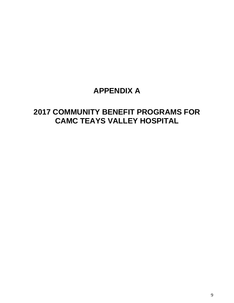## **APPENDIX A**

# **2017 COMMUNITY BENEFIT PROGRAMS FOR CAMC TEAYS VALLEY HOSPITAL**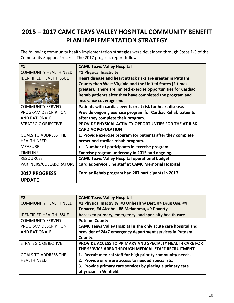## **2015 – 2017 CAMC TEAYS VALLEY HOSPITAL COMMUNITY BENEFIT PLAN IMPLEMENTATION STRATEGY**

The following community health implementation strategies were developed through Steps 1-3 of the Community Support Process. The 2017 progress report follows:

| #1                             | <b>CAMC Teays Valley Hospital</b>                              |
|--------------------------------|----------------------------------------------------------------|
| <b>COMMUNITY HEALTH NEED</b>   | #1 Physical Inactivity                                         |
| <b>IDENTIFIED HEALTH ISSUE</b> | Heart disease and heart attack risks are greater in Putnam     |
|                                | County than West Virginia and the United States (2 times       |
|                                | greater). There are limited exercise opportunities for Cardiac |
|                                | Rehab patients after they have completed the program and       |
|                                | insurance coverage ends.                                       |
| <b>COMMUNITY SERVED</b>        | Patients with cardiac events or at risk for heart disease.     |
| PROGRAM DESCRIPTION            | Provide ongoing exercise program for Cardiac Rehab patients    |
| <b>AND RATIONALE</b>           | after they complete their program.                             |
| <b>STRATEGIC OBJECTIVE</b>     | PROVIDE PHYSICAL ACTIVITY OPPORTUNTIES FOR THE AT RISK         |
|                                | <b>CARDIAC POPULATION</b>                                      |
| <b>GOALS TO ADDRESS THE</b>    | 1. Provide exercise program for patients after they complete   |
| <b>HEALTH NEED</b>             | prescribed cardiac rehab program.                              |
| <b>MEASURE</b>                 | Number of participants in exercise program.<br>$\bullet$       |
| <b>TIMELINE</b>                | Exercise program underway in 2015 and ongoing.                 |
| <b>RESOURCES</b>               | <b>CAMC Teays Valley Hospital operational budget</b>           |
| PARTNERS/COLLABORATORS         | <b>Cardiac Service Line staff at CAMC Memorial Hospital</b>    |
| <b>2017 PROGRESS</b>           | Cardiac Rehab program had 207 participants in 2017.            |
| <b>UPDATE</b>                  |                                                                |

| #2                             | <b>CAMC Teays Valley Hospital</b>                              |
|--------------------------------|----------------------------------------------------------------|
| <b>COMMUNITY HEALTH NEED</b>   | #1 Physical Inactivity, #3 Unhealthy Diet, #4 Drug Use, #4     |
|                                | Tobacco, #4 Alcohol, #8 Melanoma, #9 Poverty                   |
| <b>IDENTIFIED HEALTH ISSUE</b> | Access to primary, emergency and specialty health care         |
| <b>COMMUNITY SERVED</b>        | <b>Putnam County</b>                                           |
| PROGRAM DESCRIPTION            | CAMC Teays Valley Hospital is the only acute care hospital and |
| <b>AND RATIONALE</b>           | provider of 24/7 emergency department services in Putnam       |
|                                | County.                                                        |
| <b>STRATEGIC OBJECTIVE</b>     | PROVIDE ACCESS TO PRIMARY AND SPECIALTY HEALTH CARE FOR        |
|                                | THE SERVICE AREA THROUGH MEDICAL STAFF RECRUITMENT             |
| <b>GOALS TO ADDRESS THE</b>    | 1. Recruit medical staff for high priority community needs.    |
| <b>HEALTH NEED</b>             | 2. Provide or ensure access to needed specialists.             |
|                                | 3. Provide primary care services by placing a primary care     |
|                                | physician in Winfield.                                         |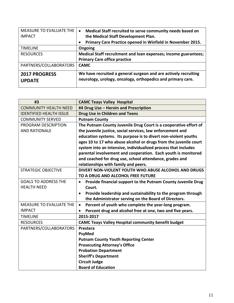| MEASURE TO EVALUATE THE<br><b>IMPACT</b> | Medical Staff recruited to serve community needs based on<br>$\bullet$<br>the Medical Staff Development Plan.                  |
|------------------------------------------|--------------------------------------------------------------------------------------------------------------------------------|
|                                          | Primary Care Practice opened in Winfield in November 2015.<br>$\bullet$                                                        |
| <b>TIMELINE</b>                          | Ongoing                                                                                                                        |
| <b>RESOURCES</b>                         | Medical Staff recruitment and loan expenses; income guarantees;                                                                |
|                                          | <b>Primary Care office practice</b>                                                                                            |
| PARTNERS/COLLABORATORS                   | <b>CAMC</b>                                                                                                                    |
| <b>2017 PROGRESS</b><br><b>UPDATE</b>    | We have recruited a general surgeon and are actively recruiting<br>neurology, urology, oncology, orthopedics and primary care. |

| #3                             | <b>CAMC Teays Valley Hospital</b>                                         |
|--------------------------------|---------------------------------------------------------------------------|
| <b>COMMUNITY HEALTH NEED</b>   | #4 Drug Use - Heroin and Prescription                                     |
| <b>IDENTIFIED HEALTH ISSUE</b> | <b>Drug Use in Children and Teens</b>                                     |
| <b>COMMUNITY SERVED</b>        | <b>Putnam County</b>                                                      |
| PROGRAM DESCRIPTION            | The Putnam County Juvenile Drug Court is a cooperative effort of          |
| <b>AND RATIONALE</b>           | the juvenile justice, social services, law enforcement and                |
|                                | education systems. Its purpose is to divert non-violent youths            |
|                                | ages 10 to 17 who abuse alcohol or drugs from the juvenile court          |
|                                | system into an intensive, individualized process that includes            |
|                                | parental involvement and cooperation. Each youth is monitored             |
|                                | and coached for drug use, school attendance, grades and                   |
|                                | relationships with family and peers.                                      |
| <b>STRATEGIC OBJECTIVE</b>     | DIVERT NON-VIOLENT YOUTH WHO ABUSE ALCOHOL AND DRUGS                      |
|                                | TO A DRUG AND ALCOHOL FREE FUTURE                                         |
| <b>GOALS TO ADDRESS THE</b>    | Provide financial support to the Putnam County Juvenile Drug<br>$\bullet$ |
| <b>HEALTH NEED</b>             | Court.                                                                    |
|                                | Provide leadership and sustainability to the program through<br>$\bullet$ |
|                                | the Administrator serving on the Board of Directors.                      |
| <b>MEASURE TO EVALUATE THE</b> | Percent of youth who complete the year-long program.<br>$\bullet$         |
| <b>IMPACT</b>                  | Percent drug and alcohol free at one, two and five years.                 |
| <b>TIMELINE</b>                | 2015-2017                                                                 |
| <b>RESOURCES</b>               | <b>CAMC Teays Valley Hospital community benefit budget</b>                |
| PARTNERS/COLLABORATORS         | Prestera                                                                  |
|                                | PsyMed                                                                    |
|                                | <b>Putnam County Youth Reporting Center</b>                               |
|                                | <b>Prosecuting Attorney's Office</b>                                      |
|                                | <b>Probation Department</b>                                               |
|                                | <b>Sheriff's Department</b>                                               |
|                                | <b>Circuit Judge</b>                                                      |
|                                | <b>Board of Education</b>                                                 |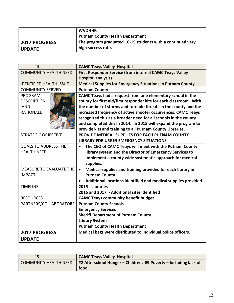|                      | <b>WVDHHR</b><br>Putnam County Health Department           |
|----------------------|------------------------------------------------------------|
| <b>2017 PROGRESS</b> | The program graduated 10-15 students with a continued very |
| <b>UPDATE</b>        | high success rate.                                         |

| #4                             | <b>CAMC Teays Valley Hospital</b>                                           |
|--------------------------------|-----------------------------------------------------------------------------|
| <b>COMMUNITY HEALTH NEED</b>   | <b>First Responder Service (from internal CAMC Teays Valley</b>             |
|                                | <b>Hospital analysis)</b>                                                   |
| <b>IDENTIFIED HEALTH ISSUE</b> | <b>Medical Supplies for Emergency Situations in Putnam County</b>           |
| <b>COMMUNITY SERVED</b>        | <b>Putnam County</b>                                                        |
| <b>PROGRAM</b>                 | CAMC Teays had a request from one elementary school in the                  |
| <b>DESCRIPTION</b>             | county for first aid/first responder kits for each classroom. With          |
| <b>AND</b>                     | the number of storms and tornado threats in the county and the              |
| <b>RATIONALE</b>               | increased frequency of active shooter occurrences, CAMC Teays               |
|                                | recognized this as a broader need for all schools in the county             |
|                                | and completed this in 2014. In 2015 will expand the program to              |
|                                | provide kits and training to all Putnam County Libraries.                   |
| <b>STRATEGIC OBJECTIVE</b>     | PROVIDE MEDICAL SUPPLIES FOR EACH PUTNAM COUNTY                             |
|                                | <b>LIBRARY FOR USE IN EMERGENCY SITUATIONS</b>                              |
| <b>GOALS TO ADDRESS THE</b>    | The CEO of CAMC Teays will meet with the Putnam County<br>$\bullet$         |
| <b>HEALTH NEED</b>             | library system and the Director of Emergency Services to                    |
|                                | implement a county wide systematic approach for medical                     |
|                                | supplies.                                                                   |
| <b>MEASURE TO EVALUATE THE</b> | Medical supplies and training provided for each library in<br>$\bullet$     |
| <b>IMPACT</b>                  | <b>Putnam County.</b>                                                       |
|                                | Additional locations identified and medical supplies provided.<br>$\bullet$ |
| <b>TIMELINE</b>                | 2015 - Libraries                                                            |
|                                | 2016 and 2017 - Additional sites identified                                 |
| <b>RESOURCES</b>               | <b>CAMC Teays community benefit budget</b>                                  |
| PARTNERS/COLLABORATORS         | <b>Putnam County Schools</b>                                                |
|                                | <b>Emergency Services</b>                                                   |
|                                | <b>Sheriff Department of Putnam County</b>                                  |
|                                | <b>Library System</b>                                                       |
|                                | <b>Putnam County Health Department</b>                                      |
| <b>2017 PROGRESS</b>           | Medical bags were distributed to individual police officers.                |
| <b>UPDATE</b>                  |                                                                             |

| #5                    | <b>CAMC Teays Valley Hospital</b>                                            |
|-----------------------|------------------------------------------------------------------------------|
| COMMUNITY HEALTH NEED | $\parallel$ #2 Afterschool Hunger – Children, #9 Poverty – Including lack of |
|                       | food                                                                         |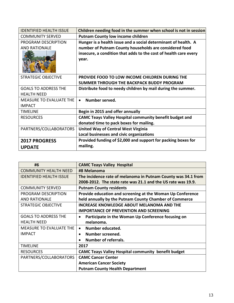| <b>IDENTIFIED HEALTH ISSUE</b> | Children needing food in the summer when school is not in session |
|--------------------------------|-------------------------------------------------------------------|
| <b>COMMUNITY SERVED</b>        | <b>Putnam County low income children</b>                          |
| PROGRAM DESCRIPTION            | Hunger is a health issue and a social determinant of health. A    |
| <b>AND RATIONALE</b>           | number of Putnam County households are considered food            |
|                                | insecure, a condition that adds to the cost of health care every  |
|                                | year.                                                             |
|                                |                                                                   |
|                                |                                                                   |
| <b>STRATEGIC OBJECTIVE</b>     | <b>PROVIDE FOOD TO LOW INCOME CHILDREN DURING THE</b>             |
|                                | SUMMER THROUGH THE BACKPACK BUDDY PROGRAM                         |
| <b>GOALS TO ADDRESS THE</b>    | Distribute food to needy children by mail during the summer.      |
| <b>HFALTH NFFD</b>             |                                                                   |
| <b>MEASURE TO EVALUATE THE</b> | Number served.<br>$\bullet$                                       |
| <b>IMPACT</b>                  |                                                                   |
| <b>TIMELINE</b>                | Begin in 2015 and offer annually                                  |
| <b>RESOURCES</b>               | <b>CAMC Teays Valley Hospital community benefit budget and</b>    |
|                                | donated time to pack boxes for mailing.                           |
| PARTNERS/COLLABORATORS         | <b>United Way of Central West Virginia</b>                        |
|                                | Local businesses and civic organizations                          |
| <b>2017 PROGRESS</b>           | Provided funding of \$2,000 and support for packing boxes for     |
| <b>UPDATE</b>                  | mailing.                                                          |

| #6                             | <b>CAMC Teays Valley Hospital</b>                               |
|--------------------------------|-----------------------------------------------------------------|
| <b>COMMUNITY HEALTH NEED</b>   | #8 Melanoma                                                     |
| <b>IDENTIFIED HEALTH ISSUE</b> | The incidence rate of melanoma in Putnam County was 34.1 from   |
|                                | 2008-2012. The state rate was 21.1 and the US rate was 19.9.    |
| <b>COMMUNITY SERVED</b>        | <b>Putnam County residents</b>                                  |
| PROGRAM DESCRIPTION            | Provide education and screening at the Woman Up Conference      |
| <b>AND RATIONALE</b>           | held annually by the Putnam County Chamber of Commerce          |
| <b>STRATEGIC OBJECTIVE</b>     | <b>INCREASE KNOWLEDGE ABOUT MELANOMA AND THE</b>                |
|                                | <b>IMPORTANCE OF PREVENTION AND SCREENING</b>                   |
| <b>GOALS TO ADDRESS THE</b>    | Participate in the Woman Up Conference focusing on<br>$\bullet$ |
| <b>HEALTH NEED</b>             | melanoma.                                                       |
| <b>MEASURE TO EVALUATE THE</b> | Number educated.<br>$\bullet$                                   |
| <b>IMPACT</b>                  | Number screened.<br>$\bullet$                                   |
|                                | <b>Number of referrals.</b>                                     |
| <b>TIMELINE</b>                | 2017                                                            |
| <b>RESOURCES</b>               | <b>CAMC Teays Valley Hospital community benefit budget</b>      |
| PARTNERS/COLLABORATORS         | <b>CAMC Cancer Center</b>                                       |
|                                | <b>American Cancer Society</b>                                  |
|                                | <b>Putnam County Health Department</b>                          |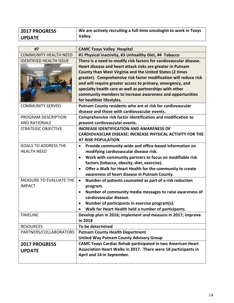| <b>2017 PROGRESS</b> | We are actively recruiting a full-time oncologist to work in Teays |
|----------------------|--------------------------------------------------------------------|
| <b>UPDATE</b>        | Valley.                                                            |

| #7                             | <b>CAMC Teays Valley Hospital</b>                                      |
|--------------------------------|------------------------------------------------------------------------|
| <b>COMMUNITY HEALTH NEED</b>   | #1 Physical Inactivity, #3 Unhealthy Diet, #4 Tobacco                  |
| <b>IDENTIFIED HEALTH ISSUE</b> | There is a need to modify risk factors for cardiovascular disease.     |
|                                | Heart disease and heart attack risks are greater in Putnam             |
|                                | County than West Virginia and the United States (2 times               |
|                                | greater). Comprehensive risk factor modification will reduce risk      |
|                                | and will require greater access to primary, emergency, and             |
|                                | specialty health care as well as partnerships with other               |
|                                | community members to increase awareness and opportunities              |
|                                | for healthier lifestyles.                                              |
| <b>COMMUNITY SERVED</b>        | Putnam County residents who are at risk for cardiovascular             |
|                                | disease and those with cardiovascular events.                          |
| PROGRAM DESCRIPTION            | Comprehensive risk factor identification and modification to           |
| <b>AND RATIONALE</b>           | prevent cardiovascular events.                                         |
| <b>STRATEGIC OBJECTIVE</b>     | <b>INCREASE IDENTIFICATION AND AWARENESS OF</b>                        |
|                                | CARDIOVASCLAR DISEASE; INCREASE PHYSICAL ACTIVITY FOR THE              |
|                                | <b>AT RISK POPULATION</b>                                              |
| <b>GOALS TO ADDRESS THE</b>    | Provide community-wide and office-based information on<br>$\bullet$    |
| <b>HEALTH NEED</b>             | modifying cardiovascular disease risk.                                 |
|                                | Work with community partners to focus on modifiable risk<br>$\bullet$  |
|                                | factors (tobacco, obesity, diet, exercise).                            |
|                                | Offer a Walk for Heart Health for the community to create<br>$\bullet$ |
|                                | awareness of heart disease in Putnam County.                           |
| MEASURE TO EVALUATE THE        | Number of patients counseled as part of a risk reduction<br>$\bullet$  |
| <b>IMPACT</b>                  | program.                                                               |
|                                | Number of community media messages to raise awareness of<br>$\bullet$  |
|                                | cardiovascular disease.                                                |
|                                | Number of participants in exercise program(s).<br>$\bullet$            |
|                                | Walk for Heart Health held a number of participants.                   |
| <b>TIMELINE</b>                | Develop plan in 2016; implement and measure in 2017; improve           |
|                                | in 2018                                                                |
| <b>RESOURCES</b>               | To be determined                                                       |
| PARTNERS/COLLABORATORS         | <b>Putnam County Health Department</b>                                 |
|                                | <b>United Way Putnam County Advisory Group</b>                         |
| <b>2017 PROGRESS</b>           | <b>CAMC Teays Cardiac Rehab participated in two American Heart</b>     |
| <b>UPDATE</b>                  | Association Heart Walks in 2017. There were 18 participants in         |
|                                | April and 14 in September.                                             |
|                                |                                                                        |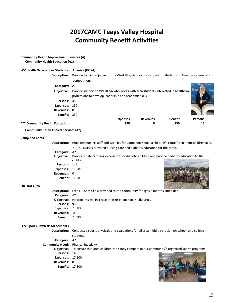## **2017CAMC Teays Valley Hospital Community Benefit Activities**

#### **Community Health Improvement Services (A)**

**Community Health Education (A1)**

#### **WV Health Occupations Students of America (HOSA)**

**Revenues:** 0 **Benefit:** 17,500

| www.licaltii Occupations Students of America (1103A) |                                                                                                                     |                 |          |                |                |
|------------------------------------------------------|---------------------------------------------------------------------------------------------------------------------|-----------------|----------|----------------|----------------|
|                                                      | Description: Provided a clinical judge for the West Virginia Health Occupations Students of America's annual skills |                 |          |                |                |
|                                                      | competition.                                                                                                        |                 |          |                |                |
| Category:                                            | A1                                                                                                                  |                 |          |                | hosa.ore       |
| Objective:                                           | nosa<br>Provide support to WV HOSA who works with area students interested in healthcare                            |                 |          |                |                |
|                                                      | professions to develop leadership and academic skills.                                                              |                 |          |                |                |
| Persons:                                             | 45                                                                                                                  |                 |          |                |                |
| <b>Expenses:</b>                                     | 350                                                                                                                 |                 |          |                |                |
| Revenues: 0                                          |                                                                                                                     |                 |          |                |                |
| <b>Benefit:</b>                                      | - 350                                                                                                               |                 |          |                |                |
|                                                      |                                                                                                                     | <b>Expenses</b> | Revenues | <b>Benefit</b> | <b>Persons</b> |
| *** Community Health Education                       |                                                                                                                     | 350             | 0        | 350            | 45             |
| <b>Community Based Clinical Services (A2)</b>        |                                                                                                                     |                 |          |                |                |
| Camp Kno Koma                                        |                                                                                                                     |                 |          |                |                |
| Description:                                         | Provided nursing staff and supplies for Camp Kno Koma, a children's camp for diabetic children ages                 |                 |          |                |                |
|                                                      | 7 - 15. Nurses provided nursing care and diabetes education for the camp.                                           |                 |          |                |                |
| Category:                                            | A2                                                                                                                  |                 |          |                |                |
| Objective:                                           | Provide a safe camping experience for diabetic children and provide diabetes education to the                       |                 |          |                |                |
|                                                      | children.                                                                                                           |                 |          |                |                |
| Persons:                                             | 142                                                                                                                 |                 |          |                |                |
| <b>Expenses:</b>                                     | 17,281                                                                                                              |                 |          |                |                |
| <b>Revenues:</b>                                     | 0                                                                                                                   |                 |          |                |                |
| Benefit: 17,281                                      |                                                                                                                     |                 |          |                |                |
| <b>Flu Shot Clinic</b>                               |                                                                                                                     |                 |          |                |                |
| Description:                                         | Free Flu Shot Clinic provided to the community for ages 6 months and older.                                         |                 |          |                |                |
| Category:                                            | A <sub>2</sub>                                                                                                      |                 |          |                |                |
| Objective:                                           | Participants will increase their resistance to the flu virus.                                                       |                 |          |                |                |
| Persons:                                             | 95                                                                                                                  |                 |          |                |                |
| Expenses:                                            | 1,683                                                                                                               |                 |          |                |                |
| <b>Revenues:</b>                                     | 0                                                                                                                   |                 |          |                |                |
| <b>Benefit:</b>                                      | 1,683                                                                                                               |                 |          |                |                |
| <b>Free Sports Physicals for Students</b>            |                                                                                                                     |                 |          |                |                |
| Description:                                         | Conducted sports physicals and evaluations for all area middle school, high school, and college                     |                 |          |                |                |
|                                                      | students.                                                                                                           |                 |          |                |                |
| Category:                                            | A <sub>2</sub>                                                                                                      |                 |          |                |                |
| <b>Community Need:</b>                               | <b>Physical Inactivity</b>                                                                                          |                 |          |                |                |
| Objective:                                           | To ensure that area children can safely compete in our community's organized sports programs.                       |                 |          |                |                |
| Persons:                                             | 145                                                                                                                 |                 |          |                |                |
| <b>Expenses:</b>                                     | 17,500                                                                                                              |                 |          |                |                |

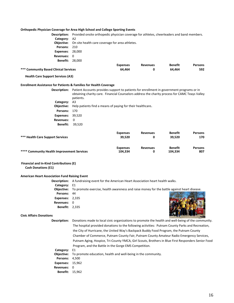| Orthopedic Physician Coverage for Area High School and College Sporting Events |                                                                                                                                                                                                          |                            |                      |                           |                       |
|--------------------------------------------------------------------------------|----------------------------------------------------------------------------------------------------------------------------------------------------------------------------------------------------------|----------------------------|----------------------|---------------------------|-----------------------|
| Description:                                                                   | Provided onsite orthopedic physician coverage for athletes, cheerleaders and band members.                                                                                                               |                            |                      |                           |                       |
| Category:                                                                      | A <sub>2</sub>                                                                                                                                                                                           |                            |                      |                           |                       |
|                                                                                | Objective: On site health care coverage for area athletes.                                                                                                                                               |                            |                      |                           |                       |
| Persons:                                                                       | 210                                                                                                                                                                                                      |                            |                      |                           |                       |
| <b>Expenses: 28,000</b>                                                        |                                                                                                                                                                                                          |                            |                      |                           |                       |
| <b>Revenues:</b>                                                               | $\mathbf 0$                                                                                                                                                                                              |                            |                      |                           |                       |
| <b>Benefit: 28,000</b>                                                         |                                                                                                                                                                                                          |                            |                      |                           |                       |
|                                                                                |                                                                                                                                                                                                          | <b>Expenses</b>            | <b>Revenues</b>      | <b>Benefit</b>            | <b>Persons</b>        |
| *** Community Based Clinical Services                                          |                                                                                                                                                                                                          | 64,464                     | 0                    | 64,464                    | 592                   |
| <b>Health Care Support Services (A3)</b>                                       |                                                                                                                                                                                                          |                            |                      |                           |                       |
| <b>Enrollment Assistance for Patients &amp; Families for Health Coverage</b>   |                                                                                                                                                                                                          |                            |                      |                           |                       |
| Description:                                                                   | Patient Accounts provides support to patients for enrollment in government programs or in<br>obtaining charity care. Financial Counselors address the charity process for CAMC Teays Valley<br>patients. |                            |                      |                           |                       |
| Category:                                                                      | A <sub>3</sub>                                                                                                                                                                                           |                            |                      |                           |                       |
| Objective:                                                                     | Help patients find a means of paying for their healthcare.                                                                                                                                               |                            |                      |                           |                       |
| Persons:                                                                       | 170                                                                                                                                                                                                      |                            |                      |                           |                       |
| <b>Expenses:</b>                                                               | 39,520                                                                                                                                                                                                   |                            |                      |                           |                       |
| <b>Revenues:</b>                                                               | $\Omega$                                                                                                                                                                                                 |                            |                      |                           |                       |
| <b>Benefit:</b>                                                                | 39,520                                                                                                                                                                                                   |                            |                      |                           |                       |
| *** Health Care Support Services                                               |                                                                                                                                                                                                          | <b>Expenses</b><br>39,520  | <b>Revenues</b><br>0 | <b>Benefit</b><br>39,520  | <b>Persons</b><br>170 |
| **** Community Health Improvement Services                                     |                                                                                                                                                                                                          | <b>Expenses</b><br>104,334 | <b>Revenues</b><br>0 | <b>Benefit</b><br>104,334 | <b>Persons</b><br>807 |
| Financial and In-Kind Contributions (E)<br><b>Cash Donations (E1)</b>          |                                                                                                                                                                                                          |                            |                      |                           |                       |
| <b>American Heart Association Fund Raising Event</b>                           |                                                                                                                                                                                                          |                            |                      |                           |                       |
| Description:                                                                   | A fundraising event for the American Heart Association heart health walks.                                                                                                                               |                            |                      |                           |                       |
| Category:                                                                      | E1                                                                                                                                                                                                       |                            |                      |                           |                       |
| Objective:                                                                     | To promote exercise, health awareness and raise money for the battle against heart disease.                                                                                                              |                            |                      |                           |                       |
| Persons:                                                                       | 44                                                                                                                                                                                                       |                            |                      |                           |                       |
| Expenses: 2,335                                                                |                                                                                                                                                                                                          |                            |                      |                           |                       |
| Revenues:                                                                      | 0                                                                                                                                                                                                        |                            |                      |                           |                       |

**Civic Affairs Donations**

**Benefit:** 2,335

**Expenses:** 15,962 **Revenues:** 0 **Benefit:** 15,962

**Description:** Donations made to local civic organizations to promote the health and well-being of the community. The hospital provided donations to the following activities: Putnam County Parks and Recreation, the City of Hurricane, the United Way's Backpack Buddy Food Program, the Putnam County Chamber of Commerce, Putnam County Fair, Putnam County Amateur Radio Emergency Services, Putnam Aging, Hospice, Tri-County YMCA, Girl Scouts, Brothers in Blue First Responders Senior Food Program, and the Battle in the Gorge EMS Competition. **Category:** E1 **Objective:** To promote education, health and well-being in the community. **Persons:** 4,500

16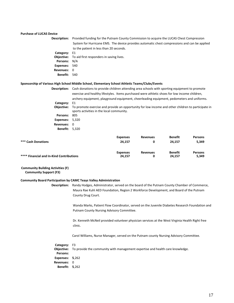| <b>Purchase of LUCAS Device</b>                                                                 |                                                                                                    |                 |                 |                |                |
|-------------------------------------------------------------------------------------------------|----------------------------------------------------------------------------------------------------|-----------------|-----------------|----------------|----------------|
| Description:                                                                                    | Provided funding for the Putnam County Commission to acquire the LUCAS Chest Compression           |                 |                 |                |                |
|                                                                                                 | System for Hurricane EMS. The device provides automatic chest compressions and can be applied      |                 |                 |                |                |
|                                                                                                 | to the patient in less than 20 seconds.                                                            |                 |                 |                |                |
| Category:                                                                                       | E1                                                                                                 |                 |                 |                |                |
| Objective:                                                                                      | To aid first responders in saving lives.                                                           |                 |                 |                |                |
| Persons:                                                                                        | N/A                                                                                                |                 |                 |                |                |
| <b>Expenses:</b>                                                                                | 540                                                                                                |                 |                 |                |                |
| Revenues: 0                                                                                     |                                                                                                    |                 |                 |                |                |
| Benefit:                                                                                        | 540                                                                                                |                 |                 |                |                |
| Sponsorship of Various High School Middle School, Elementary School Athletic Teams/Clubs/Events |                                                                                                    |                 |                 |                |                |
| Description:                                                                                    | Cash donations to provide children attending area schools with sporting equipment to promote       |                 |                 |                |                |
|                                                                                                 | exercise and healthy lifestyles. Items purchased were athletic shoes for low income children,      |                 |                 |                |                |
|                                                                                                 | archery equipment, playground equipment, cheerleading equipment, pedometers and uniforms.          |                 |                 |                |                |
| Category:                                                                                       | E1                                                                                                 |                 |                 |                |                |
| Objective:                                                                                      | To promote exercise and provide an opportunity for low income and other children to participate in |                 |                 |                |                |
|                                                                                                 | sports activities in the local community.                                                          |                 |                 |                |                |
| Persons: 805                                                                                    |                                                                                                    |                 |                 |                |                |
| Expenses: 5,320                                                                                 |                                                                                                    |                 |                 |                |                |
| Revenues: 0                                                                                     |                                                                                                    |                 |                 |                |                |
| <b>Benefit: 5,320</b>                                                                           |                                                                                                    |                 |                 |                |                |
|                                                                                                 |                                                                                                    | <b>Expenses</b> | <b>Revenues</b> | <b>Benefit</b> | <b>Persons</b> |
| *** Cash Donations                                                                              |                                                                                                    | 24,157          | 0               | 24,157         | 5,349          |
|                                                                                                 |                                                                                                    |                 |                 |                |                |
|                                                                                                 |                                                                                                    | <b>Expenses</b> | <b>Revenues</b> | <b>Benefit</b> | <b>Persons</b> |
| **** Financial and In-Kind Contributions                                                        |                                                                                                    | 24,157          | 0               | 24,157         | 5,349          |
|                                                                                                 |                                                                                                    |                 |                 |                |                |
| <b>Community Building Activities (F)</b><br><b>Community Support (F3)</b>                       |                                                                                                    |                 |                 |                |                |
| <b>Community Board Participation by CAMC Teays Valley Administration</b>                        |                                                                                                    |                 |                 |                |                |
| Description:                                                                                    | Randy Hodges, Administrator, served on the board of the Putnam County Chamber of Commerce,         |                 |                 |                |                |
|                                                                                                 | Maura Rae Kuhl AED Foundation, Region 2 Workforce Development, and Board of the Putnam             |                 |                 |                |                |
|                                                                                                 | County Drug Court.                                                                                 |                 |                 |                |                |
|                                                                                                 |                                                                                                    |                 |                 |                |                |
|                                                                                                 | Wanda Marks, Patient Flow Coordinator, served on the Juvenile Diabetes Research Foundation and     |                 |                 |                |                |
|                                                                                                 |                                                                                                    |                 |                 |                |                |
|                                                                                                 | Putnam County Nursing Advisory Committee.                                                          |                 |                 |                |                |
|                                                                                                 | Dr. Kenneth McNeil provided volunteer physician services at the West Virginia Health Right free    |                 |                 |                |                |
|                                                                                                 | clinic.                                                                                            |                 |                 |                |                |
|                                                                                                 |                                                                                                    |                 |                 |                |                |
|                                                                                                 | Carol Williams, Nurse Manager, served on the Putnam county Nursing Advisory Committee.             |                 |                 |                |                |
|                                                                                                 |                                                                                                    |                 |                 |                |                |
| Category:<br>Objective:                                                                         | F <sub>3</sub><br>To provide the community with management expertise and health care knowledge.    |                 |                 |                |                |
| Persons:                                                                                        |                                                                                                    |                 |                 |                |                |
| Expenses: 5,262                                                                                 |                                                                                                    |                 |                 |                |                |
|                                                                                                 |                                                                                                    |                 |                 |                |                |

**Revenues:** 0 **Benefit: 5**,262

17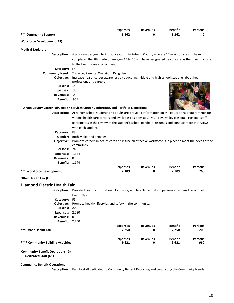| *** Community Support                                                                   |                                                                                                                        | <b>Expenses</b><br>5,262                                                                          | <b>Revenues</b><br>0 | <b>Benefit</b><br>5,262 | <b>Persons</b><br>0 |  |
|-----------------------------------------------------------------------------------------|------------------------------------------------------------------------------------------------------------------------|---------------------------------------------------------------------------------------------------|----------------------|-------------------------|---------------------|--|
| <b>Workforce Development (F8)</b>                                                       |                                                                                                                        |                                                                                                   |                      |                         |                     |  |
| <b>Medical Explorers</b>                                                                |                                                                                                                        |                                                                                                   |                      |                         |                     |  |
| Description:                                                                            | A program designed to introduce youth in Putnam County who are 14 years of age and have                                |                                                                                                   |                      |                         |                     |  |
|                                                                                         | completed the 8th grade or are ages 15 to 20 and have designated health care as their health cluster                   |                                                                                                   |                      |                         |                     |  |
|                                                                                         | to the health care environment.                                                                                        |                                                                                                   |                      |                         |                     |  |
| Category:                                                                               | F8                                                                                                                     |                                                                                                   |                      |                         |                     |  |
| <b>Community Need:</b>                                                                  | Tobacco, Parental Oversight, Drug Use                                                                                  |                                                                                                   |                      |                         |                     |  |
| Objective:                                                                              | Increase health career awareness by educating middle and high school students about health<br>professions and careers. |                                                                                                   |                      |                         |                     |  |
| Persons:                                                                                | 15                                                                                                                     |                                                                                                   |                      |                         |                     |  |
| <b>Expenses:</b>                                                                        | 965                                                                                                                    |                                                                                                   |                      |                         |                     |  |
| <b>Revenues:</b>                                                                        | $\Omega$                                                                                                               |                                                                                                   |                      |                         |                     |  |
| <b>Benefit:</b>                                                                         | 965                                                                                                                    |                                                                                                   |                      |                         |                     |  |
|                                                                                         |                                                                                                                        |                                                                                                   |                      |                         |                     |  |
| Putnam County Career Fair, Health Services Career Conference, and Portfolio Expositions |                                                                                                                        |                                                                                                   |                      |                         |                     |  |
| Description:                                                                            | Area high school students and adults are provided information on the educational requirements for                      |                                                                                                   |                      |                         |                     |  |
|                                                                                         | various health care careers and available positions at CAMC Teays Valley Hospital. Hospital staff                      |                                                                                                   |                      |                         |                     |  |
|                                                                                         |                                                                                                                        | participates in the review of the student's school portfolio, resumes and conduct mock interviews |                      |                         |                     |  |
|                                                                                         | with each student.                                                                                                     |                                                                                                   |                      |                         |                     |  |
| Category:                                                                               | F8                                                                                                                     |                                                                                                   |                      |                         |                     |  |
| Gender:                                                                                 | <b>Both Males and Females</b>                                                                                          |                                                                                                   |                      |                         |                     |  |
| Objective:                                                                              | Promote careers in health care and insure an effective workforce is in place to meet the needs of the                  |                                                                                                   |                      |                         |                     |  |
|                                                                                         | community.                                                                                                             |                                                                                                   |                      |                         |                     |  |
| Persons:                                                                                | 745                                                                                                                    |                                                                                                   |                      |                         |                     |  |
| Expenses: 1,144                                                                         |                                                                                                                        |                                                                                                   |                      |                         |                     |  |
| <b>Revenues:</b><br><b>Benefit: 1,144</b>                                               | $\overline{\phantom{0}}$                                                                                               |                                                                                                   |                      |                         |                     |  |
|                                                                                         |                                                                                                                        | <b>Expenses</b>                                                                                   | <b>Revenues</b>      | <b>Benefit</b>          | <b>Persons</b>      |  |
| *** Workforce Development                                                               |                                                                                                                        | 2,109                                                                                             | 0                    | 2,109                   | 760                 |  |
| <b>Other Health Fair (F9)</b>                                                           |                                                                                                                        |                                                                                                   |                      |                         |                     |  |
| <b>Diamond Electric Health Fair</b>                                                     |                                                                                                                        |                                                                                                   |                      |                         |                     |  |
| Description:                                                                            | Provided health information, bloodwork, and bicycle helmets to persons attending the Winfield                          |                                                                                                   |                      |                         |                     |  |
|                                                                                         | Health Fair.                                                                                                           |                                                                                                   |                      |                         |                     |  |
| Category:                                                                               | F9                                                                                                                     |                                                                                                   |                      |                         |                     |  |
| Objective:<br>Persons:                                                                  | Promote healthy lifestyles and safety in the community.<br>200                                                         |                                                                                                   |                      |                         |                     |  |

**Expenses:** 2,250 **Revenues:** 0 **Benefit:** 2,250

**Expenses Revenues Benefit Persons \*\*\* Other Health Fair 2,250 0 2,250 200 Expenses Revenues Benefit Persons \*\*\*\* Community Building Activities 9,621 0 9,621 960**

#### **Community Benefit Operations (G) Dedicated Staff (G1)**

#### **Community Benefit Operations**

**Description:** Facility staff dedicated to Community Benefit Reporting and conducting the Community Needs